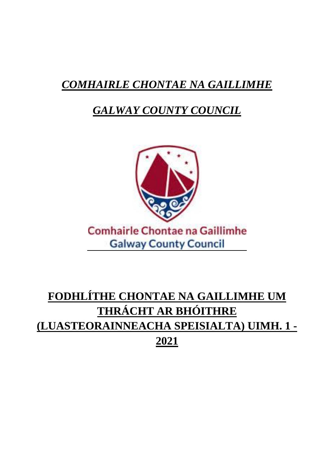# **COMHAIRLE CHONTAE NA GAILLIMHE**

# **GALWAY COUNTY COUNCIL**



# **Comhairle Chontae na Gaillimhe Galway County Council**

# FODHLÍTHE CHONTAE NA GAILLIMHE UM THRÁCHT AR BHÓITHRE (LUASTEORAINNEACHA SPEISIALTA) UIMH. 1 -2021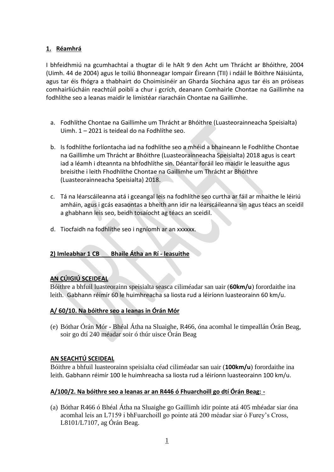### **1. Réamhrá**

I bhfeidhmiú na gcumhachtaí a thugtar di le hAlt 9 den Acht um Thrácht ar Bhóithre, 2004 (Uimh. 44 de 2004) agus le toiliú Bhonneagar Iompair Éireann (TII) i ndáil le Bóithre Náisiúnta, agus tar éis fhógra a thabhairt do Choimisinéir an Gharda Síochána agus tar éis an próiseas comhairliúcháin reachtúil poiblí a chur i gcrích, deanann Comhairle Chontae na Gaillimhe na fodhlíthe seo a leanas maidir le limistéar riaracháin Chontae na Gaillimhe.

- a. Fodhlíthe Chontae na Gaillimhe um Thrácht ar Bhóithre (Luasteorainneacha Speisialta) Uimh. 1 – 2021 is teideal do na Fodhlíthe seo.
- b. Is fodhlíthe forlíontacha iad na fodhlíthe seo a mhéid a bhaineann le Fodhlíthe Chontae na Gaillimhe um Thrácht ar Bhóithre (Luasteorainneacha Speisialta) 2018 agus is ceart iad a léamh i dteannta na bhfodhlíthe sin. Déantar foráil leo maidir le leasuithe agus breisithe i leith Fhodhlíthe Chontae na Gaillimhe um Thrácht ar Bhóithre (Luasteorainneacha Speisialta) 2018.
- c. Tá na léarscáileanna atá i gceangal leis na fodhlíthe seo curtha ar fáil ar mhaithe le léiriú amháin, agus i gcás easaontas a bheith ann idir na léarscáileanna sin agus téacs an sceidil a ghabhann leis seo, beidh tosaíocht ag téacs an sceidil.
- d. Tiocfaidh na fodhlíthe seo i ngníomh ar an xxxxxx.

### **2) Imleabhar 1 CB Bhaile Átha an Rí - leasuithe**

### **AN CÚIGIÚ SCEIDEAL**

Bóithre a bhfuil luasteorainn speisialta seasca ciliméadar san uair (**60km/u**) forordaithe ina leith. Gabhann réimír 60 le huimhreacha sa liosta rud a léiríonn luasteorainn 60 km/u.

#### **A/ 60/10. Na bóithre seo a leanas in Órán Mór**

(e) Bóthar Órán Mór - Bhéal Átha na Sluaighe, R466, óna acomhal le timpeallán Órán Beag, soir go dtí 240 méadar soir ó thúr uisce Órán Beag

#### **AN SEACHTÚ SCEIDEAL**

Bóithre a bhfuil luasteorainn speisialta céad ciliméadar san uair (**100km/u**) forordaithe ina leith. Gabhann réimír 100 le huimhreacha sa liosta rud a léiríonn luasteorainn 100 km/u.

#### **A/100/2. Na bóithre seo a leanas ar an R446 ó Fhuarchoill go dtí Órán Beag: -**

(a) Bóthar R466 ó Bhéal Átha na Sluaighe go Gaillimh idir pointe atá 405 mhéadar siar óna acomhal leis an L7159 i bhFuarchoill go pointe atá 200 méadar siar ó Furey's Cross, L8101/L7107, ag Órán Beag.